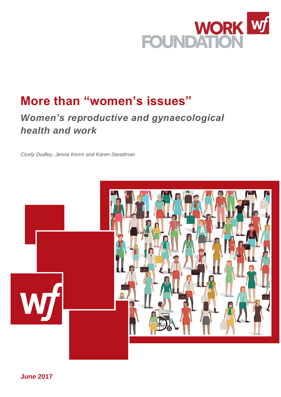

# **More than "women's issues"**

## *Women's reproductive and gynaecological health and work*

*Cicely Dudley, Jenna Kerns and Karen Steadman*

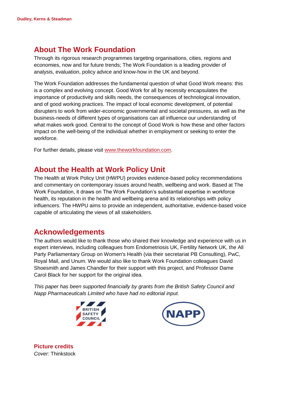## **About The Work Foundation**

Through its rigorous research programmes targeting organisations, cities, regions and economies, now and for future trends; The Work Foundation is a leading provider of analysis, evaluation, policy advice and know-how in the UK and beyond.

The Work Foundation addresses the fundamental question of what Good Work means: this is a complex and evolving concept. Good Work for all by necessity encapsulates the importance of productivity and skills needs, the consequences of technological innovation, and of good working practices. The impact of local economic development, of potential disrupters to work from wider-economic governmental and societal pressures, as well as the business-needs of different types of organisations can all influence our understanding of what makes work good. Central to the concept of Good Work is how these and other factors impact on the well-being of the individual whether in employment or seeking to enter the workforce.

For further details, please visit [www.theworkfoundation.com.](http://www.theworkfoundation.com/)

## **About the Health at Work Policy Unit**

The Health at Work Policy Unit (HWPU) provides evidence-based policy recommendations and commentary on contemporary issues around health, wellbeing and work. Based at The Work Foundation, it draws on The Work Foundation's substantial expertise in workforce health, its reputation in the health and wellbeing arena and its relationships with policy influencers. The HWPU aims to provide an independent, authoritative, evidence-based voice capable of articulating the views of all stakeholders.

## **Acknowledgements**

The authors would like to thank those who shared their knowledge and experience with us in expert interviews, including colleagues from Endometriosis UK, Fertility Network UK, the All Party Parliamentary Group on Women's Health (via their secretariat PB Consulting), PwC, Royal Mail, and Unum. We would also like to thank Work Foundation colleagues David Shoesmith and James Chandler for their support with this project, and Professor Dame Carol Black for her support for the original idea.

*This paper has been supported financially by grants from the British Safety Council and Napp Pharmaceuticals Limited who have had no editorial input.*





**Picture credits** *Cover:* Thinkstock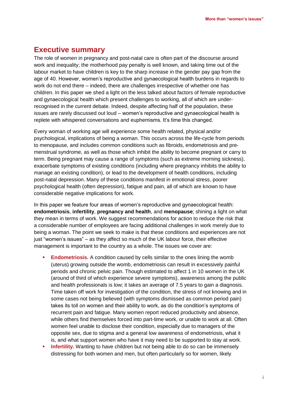### <span id="page-2-0"></span>**Executive summary**

The role of women in pregnancy and post-natal care is often part of the discourse around work and inequality; the motherhood pay penalty is well known, and taking time out of the labour market to have children is key to the sharp increase in the gender pay gap from the age of 40. However, women's reproductive and gynaecological health burdens in regards to work do not end there – indeed, there are challenges irrespective of whether one has children. In this paper we shed a light on the less talked about factors of female reproductive and gynaecological health which present challenges to working, all of which are underrecognised in the current debate. Indeed, despite affecting half of the population, these issues are rarely discussed out loud – women's reproductive and gynaecological health is replete with whispered conversations and euphemisms. It's time this changed.

Every woman of working age will experience some health related, physical and/or psychological, implications of being a woman. This occurs across the life-cycle from periods to menopause, and includes common conditions such as fibroids, endometriosis and premenstrual syndrome, as well as those which inhibit the ability to become pregnant or carry to term. Being pregnant may cause a range of symptoms (such as extreme morning sickness), exacerbate symptoms of existing conditions (including where pregnancy inhibits the ability to manage an existing condition), or lead to the development of health conditions, including post-natal depression. Many of these conditions manifest in emotional stress, poorer psychological health (often depression), fatigue and pain, all of which are known to have considerable negative implications for work.

In this paper we feature four areas of women's reproductive and gynaecological health: **endometriosis**, **infertility**, **pregnancy and health**, and **menopause**; shining a light on what they mean in terms of work. We suggest recommendations for action to reduce the risk that a considerable number of employees are facing additional challenges in work merely due to being a woman. The point we seek to make is that these conditions and experiences are not just "women's issues" – as they affect so much of the UK labour force, their effective management is important to the country as a whole. The issues we cover are:

- **Endometriosis.** A condition caused by cells similar to the ones lining the womb (uterus) growing outside the womb, endometriosis can result in excessively painful periods and chronic pelvic pain. Though estimated to affect 1 in 10 women in the UK (around of third of which experience severe symptoms), awareness among the public and health professionals is low; it takes an average of 7.5 years to gain a diagnosis. Time taken off work for investigation of the condition, the stress of not knowing and in some cases not being believed (with symptoms dismissed as common period pain) takes its toll on women and their ability to work, as do the condition's symptoms of recurrent pain and fatigue. Many women report reduced productivity and absence, while others find themselves forced into part-time work, or unable to work at all. Often women feel unable to disclose their condition, especially due to managers of the opposite sex, due to stigma and a general low awareness of endometriosis, what it is, and what support women who have it may need to be supported to stay at work.
- **Infertility.** Wanting to have children but not being able to do so can be immensely distressing for both women and men, but often particularly so for women, likely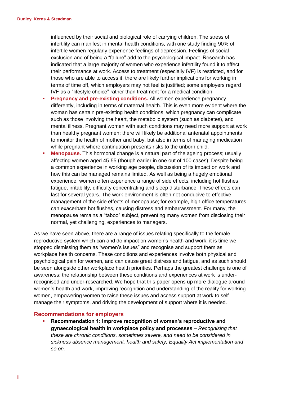influenced by their social and biological role of carrying children. The stress of infertility can manifest in mental health conditions, with one study finding 90% of infertile women regularly experience feelings of depression. Feelings of social exclusion and of being a "failure" add to the psychological impact. Research has indicated that a large majority of women who experience infertility found it to affect their performance at work. Access to treatment (especially IVF) is restricted, and for those who are able to access it, there are likely further implications for working in terms of time off, which employers may not feel is justified; some employers regard IVF as a "lifestyle choice" rather than treatment for a medical condition.

- **Pregnancy and pre-existing conditions.** All women experience pregnancy differently, including in terms of maternal health. This is even more evident where the woman has certain pre-existing health conditions, which pregnancy can complicate such as those involving the heart, the metabolic system (such as diabetes), and mental illness. Pregnant women with such conditions may need more support at work than healthy pregnant women; there will likely be additional antenatal appointments to monitor the health of mother and baby, but also in terms of managing medication while pregnant where continuation presents risks to the unborn child.
- **Menopause.** This hormonal change is a natural part of the ageing process; usually affecting women aged 45-55 (though earlier in one out of 100 cases). Despite being a common experience in working age people, discussion of its impact on work and how this can be managed remains limited. As well as being a hugely emotional experience, women often experience a range of side effects, including hot flushes, fatigue, irritability, difficulty concentrating and sleep disturbance. These effects can last for several years. The work environment is often not conducive to effective management of the side effects of menopause; for example, high office temperatures can exacerbate hot flushes, causing distress and embarrassment. For many, the menopause remains a "taboo" subject, preventing many women from disclosing their normal, yet challenging, experiences to managers.

As we have seen above, there are a range of issues relating specifically to the female reproductive system which can and do impact on women's health and work; it is time we stopped dismissing them as "women's issues" and recognise and support them as workplace health concerns. These conditions and experiences involve both physical and psychological pain for women, and can cause great distress and fatigue, and as such should be seen alongside other workplace health priorities. Perhaps the greatest challenge is one of awareness; the relationship between these conditions and experiences at work is underrecognised and under-researched. We hope that this paper opens up more dialogue around women's health and work, improving recognition and understanding of the reality for working women, empowering women to raise these issues and access support at work to selfmanage their symptoms, and driving the development of support where it is needed.

#### **Recommendations for employers**

**Recommendation 1: Improve recognition of women's reproductive and gynaecological health in workplace policy and processes** *– Recognising that these are chronic conditions, sometimes severe, and need to be considered in sickness absence management, health and safety, Equality Act implementation and so on.*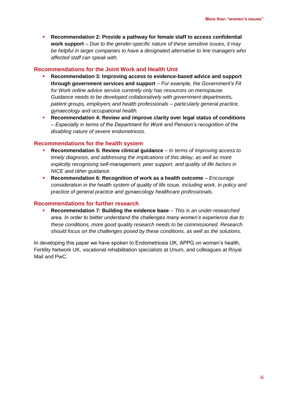**Recommendation 2: Provide a pathway for female staff to access confidential work support** *– Due to the gender-specific nature of these sensitive issues, it may be helpful in larger companies to have a designated alternative to line managers who affected staff can speak with.*

#### **Recommendations for the Joint Work and Health Unit**

- **Recommendation 3: Improving access to evidence-based advice and support through government services and support** *– For example, the Government's Fit for Work online advice service currently only has resources on menopause. Guidance needs to be developed collaboratively with government departments, patient groups, employers and health professionals – particularly general practice, gynaecology and occupational health.*
- **Recommendation 4: Review and improve clarity over legal status of conditions**  *– Especially in terms of the Department for Work and Pension's recognition of the disabling nature of severe endometriosis.*

#### **Recommendations for the health system**

- **Recommendation 5: Review clinical guidance** *– In terms of improving access to timely diagnosis, and addressing the implications of this delay, as well as more explicitly recognising self-management, peer support, and quality of life factors in NICE and other guidance.*
- **Recommendation 6: Recognition of work as a health outcome** *Encourage consideration in the health system of quality of life issue, including work, in policy and practice of general practice and gynaecology healthcare professionals.*

#### **Recommendations for further research**

 **Recommendation 7: Building the evidence base** *– This is an under-researched area. In order to better understand the challenges many women's experience due to these conditions, more good quality research needs to be commissioned. Research should focus on the challenges posed by these conditions, as well as the solutions.*

In developing this paper we have spoken to Endometriosis UK, APPG on women's health, Fertility Network UK, vocational rehabilitation specialists at Unum, and colleagues at Royal Mail and PwC.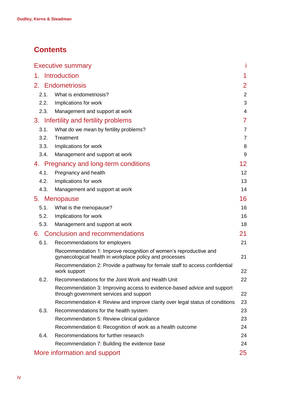## **Contents**

|                                                 | <b>Executive summary</b>                                                                                                     |                |
|-------------------------------------------------|------------------------------------------------------------------------------------------------------------------------------|----------------|
| 1.                                              | Introduction                                                                                                                 | 1              |
|                                                 | 2. Endometriosis                                                                                                             | $\overline{2}$ |
| 2.1.                                            | What is endometriosis?                                                                                                       | $\overline{2}$ |
| 2.2.                                            | Implications for work                                                                                                        | 3              |
| 2.3.                                            | Management and support at work                                                                                               | 4              |
|                                                 | 3. Infertility and fertility problems                                                                                        | $\overline{7}$ |
| 3.1.                                            | What do we mean by fertility problems?                                                                                       | $\overline{7}$ |
| 3.2.                                            | Treatment                                                                                                                    | $\overline{7}$ |
| 3.3.                                            | Implications for work                                                                                                        | 8              |
| 3.4.                                            | Management and support at work                                                                                               | 9              |
| <b>Pregnancy and long-term conditions</b><br>4. |                                                                                                                              | 12             |
| 4.1.                                            | Pregnancy and health                                                                                                         | 12             |
| 4.2.                                            | Implications for work                                                                                                        | 13             |
| 4.3.                                            | Management and support at work                                                                                               | 14             |
| 5. Menopause                                    |                                                                                                                              | 16             |
| 5.1.                                            | What is the menopause?                                                                                                       | 16             |
| 5.2.                                            | Implications for work                                                                                                        | 16             |
| 5.3.                                            | Management and support at work                                                                                               | 18             |
| Conclusion and recommendations<br>6.            |                                                                                                                              | 21             |
| 6.1.                                            | Recommendations for employers                                                                                                | 21             |
|                                                 | Recommendation 1: Improve recognition of women's reproductive and<br>gynaecological health in workplace policy and processes | 21             |
|                                                 | Recommendation 2: Provide a pathway for female staff to access confidential<br>work support                                  | 22             |
| 6.2.                                            | Recommendations for the Joint Work and Health Unit                                                                           | 22             |
|                                                 | Recommendation 3: Improving access to evidence-based advice and support<br>through government services and support           | 22             |
|                                                 | Recommendation 4: Review and improve clarity over legal status of conditions                                                 | 23             |
| 6.3.                                            | Recommendations for the health system                                                                                        | 23             |
|                                                 | Recommendation 5: Review clinical guidance                                                                                   | 23             |
|                                                 | Recommendation 6: Recognition of work as a health outcome                                                                    | 24             |
| 6.4.                                            | Recommendations for further research                                                                                         | 24             |
|                                                 | Recommendation 7: Building the evidence base                                                                                 | 24             |
|                                                 | More information and support                                                                                                 | 25             |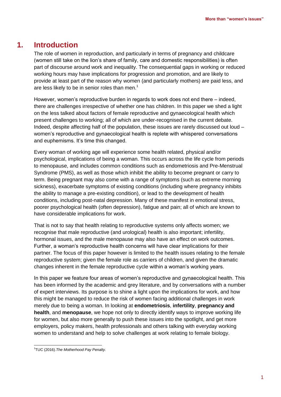## **1. Introduction**

<span id="page-6-0"></span>The role of women in reproduction, and particularly in terms of pregnancy and childcare (women still take on the lion's share of family, care and domestic responsibilities) is often part of discourse around work and inequality. The consequential gaps in working or reduced working hours may have implications for progression and promotion, and are likely to provide at least part of the reason why women (and particularly mothers) are paid less, and are less likely to be in senior roles than men.<sup>1</sup>

However, women's reproductive burden in regards to work does not end there – indeed, there are challenges irrespective of whether one has children. In this paper we shed a light on the less talked about factors of female reproductive and gynaecological health which present challenges to working; all of which are under-recognised in the current debate. Indeed, despite affecting half of the population, these issues are rarely discussed out loud – women's reproductive and gynaecological health is replete with whispered conversations and euphemisms. It's time this changed.

Every woman of working age will experience some health related, physical and/or psychological, implications of being a woman. This occurs across the life cycle from periods to menopause, and includes common conditions such as endometriosis and Pre-Menstrual Syndrome (PMS), as well as those which inhibit the ability to become pregnant or carry to term. Being pregnant may also come with a range of symptoms (such as extreme morning sickness), exacerbate symptoms of existing conditions (including where pregnancy inhibits the ability to manage a pre-existing condition), or lead to the development of health conditions, including post-natal depression. Many of these manifest in emotional stress, poorer psychological health (often depression), fatigue and pain; all of which are known to have considerable implications for work.

That is not to say that health relating to reproductive systems only affects women; we recognise that male reproductive (and urological) health is also important; infertility, hormonal issues, and the male menopause may also have an effect on work outcomes. Further, a woman's reproductive health concerns will have clear implications for their partner. The focus of this paper however is limited to the health issues relating to the female reproductive system; given the female role as carriers of children, and given the dramatic changes inherent in the female reproductive cycle within a woman's working years.

In this paper we feature four areas of women's reproductive and gynaecological health. This has been informed by the academic and grey literature, and by conversations with a number of expert interviews. Its purpose is to shine a light upon the implications for work, and how this might be managed to reduce the risk of women facing additional challenges in work merely due to being a woman. In looking at **endometriosis**, **infertility**, **pregnancy and health**, and **menopause**, we hope not only to directly identify ways to improve working life for women, but also more generally to push these issues into the spotlight, and get more employers, policy makers, health professionals and others talking with everyday working women to understand and help to solve challenges at work relating to female biology.

 1 TUC (2016).*The Motherhood Pay Penalty.*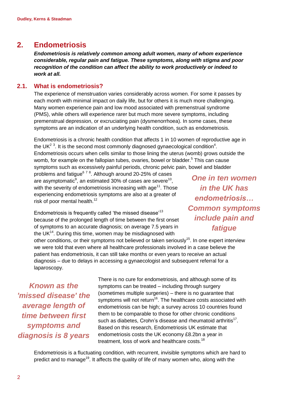## **2. Endometriosis**

<span id="page-7-0"></span>*Endometriosis is relatively common among adult women, many of whom experience considerable, regular pain and fatigue. These symptoms, along with stigma and poor recognition of the condition can affect the ability to work productively or indeed to work at all.*

#### **2.1. What is endometriosis?**

<span id="page-7-1"></span>The experience of menstruation varies considerably across women. For some it passes by each month with minimal impact on daily life, but for others it is much more challenging. Many women experience pain and low mood associated with premenstrual syndrome (PMS), while others will experience rarer but much more severe symptoms, including premenstrual depression, or excruciating pain (dysmenorrhoea). In some cases, these symptoms are an indication of an underlying health condition, such as endometriosis.

Endometriosis is a chronic health condition that affects 1 in 10 women of reproductive age in the UK<sup>23</sup>. It is the second most commonly diagnosed gynaecological condition<sup>4</sup>. Endometriosis occurs when cells similar to those lining the uterus (womb) grows outside the womb, for example on the fallopian tubes, ovaries, bowel or bladder.<sup>5</sup> This can cause symptoms such as excessively painful periods, chronic pelvic pain, bowel and bladder

problems and fatigue<sup>6 7 8</sup>. Although around 20-25% of cases are asymptomatic $9$ , an estimated 30% of cases are severe<sup>10</sup>, with the severity of endometriosis increasing with age<sup>11</sup>. Those experiencing endometriosis symptoms are also at a greater of risk of poor mental health. $12$ 

Endometriosis is frequently called 'the missed disease'<sup>13</sup> because of the prolonged length of time between the first onset of symptoms to an accurate diagnosis; on average 7.5 years in the  $UK<sup>14</sup>$ . During this time, women may be misdiagnosed with

*One in ten women in the UK has endometriosis… Common symptoms include pain and fatigue*

other conditions, or their symptoms not believed or taken seriously<sup>15</sup>. In one expert interview we were told that even where all healthcare professionals involved in a case believe the patient has endometriosis, it can still take months or even years to receive an actual diagnosis – due to delays in accessing a gynaecologist and subsequent referral for a laparoscopy.

*Known as the 'missed disease' the average length of time between first symptoms and diagnosis is 8 years*

There is no cure for endometriosis, and although some of its symptoms can be treated – including through surgery (sometimes multiple surgeries) – there is no guarantee that symptoms will not return<sup>16</sup>. The healthcare costs associated with endometriosis can be high; a survey across 10 countries found them to be comparable to those for other chronic conditions such as diabetes, Crohn's disease and rheumatoid arthritis<sup>17</sup>. Based on this research, Endometriosis UK estimate that endometriosis costs the UK economy £8.2bn a year in treatment, loss of work and healthcare costs.<sup>18</sup>

Endometriosis is a fluctuating condition, with recurrent, invisible symptoms which are hard to predict and to manage<sup>19</sup>. It affects the quality of life of many women who, along with the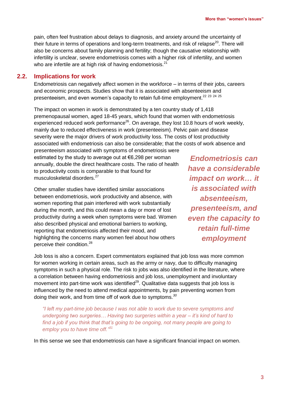pain, often feel frustration about delays to diagnosis, and anxiety around the uncertainty of their future in terms of operations and long-term treatments, and risk of relapse<sup>20</sup>. There will also be concerns about family planning and fertility; though the causative relationship with infertility is unclear, severe endometriosis comes with a higher risk of infertility, and women who are infertile are at high risk of having endometriosis. $21$ 

#### **2.2. Implications for work**

<span id="page-8-0"></span>Endometriosis can negatively affect women in the workforce – in terms of their jobs, careers and economic prospects. Studies show that it is associated with absenteeism and presenteeism, and even women's capacity to retain full-time employment.<sup>22</sup> 23 24 25

The impact on women in work is demonstrated by a ten country study of 1,418 premenopausal women, aged 18-45 years, which found that women with endometriosis experienced reduced work performance<sup>26</sup>. On average, they lost 10.8 hours of work weekly, mainly due to reduced effectiveness in work (presenteeism). Pelvic pain and disease severity were the major drivers of work productivity loss. The costs of lost productivity associated with endometriosis can also be considerable; that the costs of work absence and

presenteeism associated with symptoms of endometriosis were estimated by the study to average out at €6,298 per woman annually, double the direct healthcare costs. The ratio of health to productivity costs is comparable to that found for musculoskeletal disorders.<sup>27</sup>

Other smaller studies have identified similar associations between endometriosis, work productivity and absence, with women reporting that pain interfered with work substantially during the month, and this could mean a day or more of lost productivity during a week when symptoms were bad. Women also described physical and emotional barriers to working, reporting that endometriosis affected their mood, and highlighting the concerns many women feel about how others perceive their condition.<sup>28</sup>

*Endometriosis can have a considerable impact on work… it is associated with absenteeism, presenteeism, and even the capacity to retain full-time employment*

Job loss is also a concern. Expert commentators explained that job loss was more common for women working in certain areas, such as the army or navy, due to difficulty managing symptoms in such a physical role. The risk to jobs was also identified in the literature, where a correlation between having endometriosis and job loss, unemployment and involuntary movement into part-time work was identified $^{29}$ . Qualitative data suggests that job loss is influenced by the need to attend medical appointments, by pain preventing women from doing their work, and from time off of work due to symptoms.*<sup>30</sup>*

*"I left my part-time job because I was not able to work due to severe symptoms and undergoing two surgeries… Having two surgeries within a year – it's kind of hard to find a job if you think that that's going to be ongoing, not many people are going to employ you to have time off." 31*

In this sense we see that endometriosis can have a significant financial impact on women.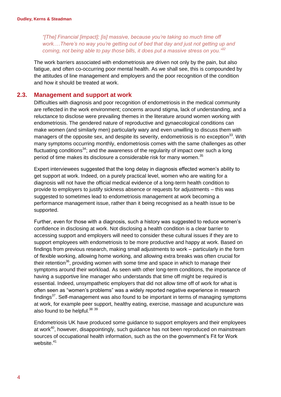*"[The] Financial [impact]; [is] massive, because you're taking so much time off work.…There's no way you're getting out of bed that day and just not getting up and coming, not being able to pay those bills, it does put a massive stress on you."<sup>32</sup>*

The work barriers associated with endometriosis are driven not only by the pain, but also fatigue, and often co-occurring poor mental health. As we shall see, this is compounded by the attitudes of line management and employers and the poor recognition of the condition and how it should be treated at work.

#### **2.3. Management and support at work**

<span id="page-9-0"></span>Difficulties with diagnosis and poor recognition of endometriosis in the medical community are reflected in the work environment; concerns around stigma, lack of understanding, and a reluctance to disclose were prevailing themes in the literature around women working with endometriosis. The gendered nature of reproductive and gynaecological conditions can make women (and similarly men) particularly wary and even unwilling to discuss them with managers of the opposite sex, and despite its severity, endometriosis is no exception<sup>33</sup>. With many symptoms occurring monthly, endometriosis comes with the same challenges as other fluctuating conditions<sup>34</sup>; and the awareness of the regularity of impact over such a long period of time makes its disclosure a considerable risk for many women.<sup>35</sup>

Expert interviewees suggested that the long delay in diagnosis effected women's ability to get support at work. Indeed, on a purely practical level, women who are waiting for a diagnosis will not have the official medical evidence of a long-term health condition to provide to employers to justify sickness absence or requests for adjustments – this was suggested to sometimes lead to endometriosis management at work becoming a performance management issue, rather than it being recognised as a health issue to be supported.

Further, even for those with a diagnosis, such a history was suggested to reduce women's confidence in disclosing at work. Not disclosing a health condition is a clear barrier to accessing support and employers will need to consider these cultural issues if they are to support employees with endometriosis to be more productive and happy at work. Based on findings from previous research, making small adjustments to work – particularly in the form of flexible working, allowing home working, and allowing extra breaks was often crucial for their retention<sup>36</sup>, providing women with some time and space in which to manage their symptoms around their workload. As seen with other long-term conditions, the importance of having a supportive line manager who understands that time off might be required is essential. Indeed, unsympathetic employers that did not allow time off of work for what is often seen as "women's problems" was a widely reported negative experience in research findings<sup>37</sup>. Self-management was also found to be important in terms of managing symptoms at work, for example peer support, healthy eating, exercise, massage and acupuncture was also found to be helpful.<sup>38</sup> 39

Endometriosis UK have produced some guidance to support employers and their employees at work<sup>40</sup>, however, disappointingly, such guidance has not been reproduced on mainstream sources of occupational health information, such as the on the government's Fit for Work website.<sup>41</sup>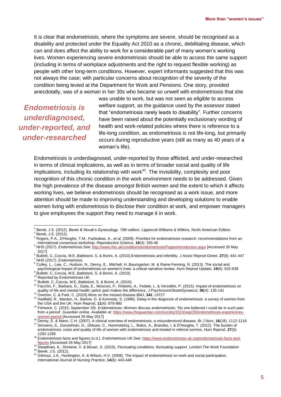It is clear that endometriosis, where the symptoms are severe, should be recognised as a disability and protected under the Equality Act 2010 as a chronic, debilitating disease, which can and does affect the ability to work for a considerable part of many women's working lives. Women experiencing severe endometriosis should be able to access the same support (including in terms of workplace adjustments and the right to request flexible working) as people with other long-term conditions. However, expert informants suggested that this was not always the case; with particular concerns about recognition of the severity of the condition being levied at the Department for Work and Pensions. One story, provided anecdotally, was of a woman in her 30s who became so unwell with endometriosis that she

*Endometriosis is underdiagnosed, under-reported, and under-researched*

was unable to work, but was not seen as eligible to access welfare support, as the guidance used by the assessor stated that "endometriosis rarely leads to disability". Further concerns have been raised about the potentially exclusionary wording of health and work-related policies where there is reference to a life-long condition, as endometriosis is not life-long, but primarily occurs during reproductive years (still as many as 40 years of a woman's life).

Endometriosis is underdiagnosed, under-reported by those afflicted, and under-researched in terms of clinical implications, as well as in terms of broader social and quality of life implications, including its relationship with work $42$ . The invisibility, complexity and poor recognition of this chronic condition in the work environment needs to be addressed. Given the high prevalence of the disease amongst British women and the extent to which it affects working lives, we believe endometriosis should be recognised as a work issue, and more attention should be made to improving understanding and developing solutions to enable women living with endometriosis to disclose their condition at work, and empower managers to give employees the support they need to manage it in work.

-

<sup>2</sup> Berek, J.S. (2012). *Berek & Novak's Gynecology. 15th edition*. Lippincott Williams & Wilkins, North American Edition.

<sup>&</sup>lt;sup>3</sup> Berek, J.S. (2012).

<sup>4</sup> Rogers, P.A., D'Hooghe, T.M., Fazleabas, A., *et al.* (2009). Priorities for endometriosis research: recommendations from an international consensus workshop. *Reproductive Science*, **16**(4): 335-46

<sup>5</sup> NHS (2017). *Endometriosis.*See[: http://www.nhs.uk/conditions/endometriosis/Pages/Introduction.aspx](http://www.nhs.uk/conditions/endometriosis/Pages/Introduction.aspx) [Accessed 26 May 2017]

<sup>6</sup> Bulletti, C.,Coccia, M.E.,Battistoni, S. & Borini, A. (2010).Endometriosis and infertility. *J Assist Reprod Genet,* **27**(8): 441-447 <sup>7</sup> NHS (2017). *Endometriosis.*

<sup>8</sup> [Culley,](https://www.ncbi.nlm.nih.gov/pubmed/23884896) L., Law, C., Hudson, N., Denny, E., Mitchell, H., Baumgarten, M. & Raine-Fenning, N. (2013). The social and psychological impact of endometriosis on women's lives: a critical narrative review. *Hum Reprod Update,* **19**(6): 625-639

<sup>&</sup>lt;sup>9</sup> Bulletti, C., Coccia, M.E., Battistoni, S. & Borini, A. (2010).

<sup>&</sup>lt;sup>10</sup> Reported by Endometriosis UK

<sup>11</sup> Bulletti, C.,Coccia, M.E.,Battistoni, S. & Borini, A. (2010).

<sup>&</sup>lt;sup>12</sup> Facchin, F., Barbara, G., Saita, E., Mosconi, P., Roberto, A., Fedele, L. & Vercellini, P. (2015). Impact of endometriosis on quality of life and mental health: pelvic pain makes the difference. *J PsychosomObstetGynaecol,* **36**(4): 135-141 <sup>13</sup> Overton, C. & Park, C. (2010).More on the missed disease.*BMJ*, **341**: c3727

<sup>14</sup> Hadfield, R., Mardon, H., Barlow, D. & Kennedy, S. (1996). Delay in the diagnosis of endometriosis: a survey of women from the USA and the UK. Hum Reprod, **11**(4): 878-880

<sup>15</sup> Fishwick, C. (2015, September 29). Endometriosis: Women discuss endometriosis: 'No one believed I could be in such pain from a period<sup>'</sup>. *Guardian online*. Available at: https://www.theguardian.com/society/2015/sep/29/endometriosis-experience [women-period](https://www.theguardian.com/society/2015/sep/29/endometriosis-experiences-women-period) [Accessed 26 May 2017]

<sup>16</sup> Denny, E. & Mann, C.H. (2007). A clinical overview of endometriosis: a misunderstood disease. *Br J Nurs*, **16**(18): 1112-1116 <sup>17</sup> Simoens, S., Dunselman, G., Dirksen, C., Hummelshoj, L., Bokor, A., Brandes, I. & D'Hooghe, T. (2012). The burden of endometriosis: costs and quality of life of women with endometriosis and treated in referral centres. *Hum Reprod*, **27**(5): 1292-1299

<sup>18</sup> Endometriosis facts and figures (n.d.). *Endometriosis UK*.See[: https://www.endometriosis-uk.org/endometriosis-facts-and](https://www.endometriosis-uk.org/endometriosis-facts-and-figures)[figures](https://www.endometriosis-uk.org/endometriosis-facts-and-figures) [Accessed 26 May 2017]

<sup>19</sup> Steadman, K., Shreeve, V. & Bevan, S. (2015). *Fluctuating conditions, fluctuating support*. London:The Work Foundation <sup>20</sup> Berek, J.S. (2012).

<sup>&</sup>lt;sup>21</sup> Gilmour, J.A., Huntington, A. & Wilson, H.V. (2008). The impact of endometriosis on work and social participation. *International Journal of Nursing Practice,* **14**(6): 443-448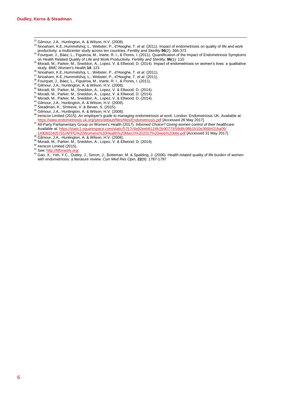-

- $22$  Gilmour, J.A., Huntington, A. & Wilson, H.V. (2008).
- <sup>23</sup> Nnoaham, K.E.,Hummelshoj, L., Webster, P., d'Hooghe, T. *et al*. (2011). Impact of endometriosis on quality of life and work
- productivity: a multicenter study across ten countries. *Fertility and Sterility*.**96**(2): 366-373<br><sup>24</sup> Fourquet, J., Báez, L., Figueroa, M., Iriarte, R. I., & Flores, I. (2011). Quantification of the Impact of Endometrios on Health Related Quality of Life and Work Productivity. *Fertility and Sterility*, **96**(1): 110
- <sup>25</sup> Moradi, M., Parker, M., Sneddon, A., Lopez, V. & Ellwood, D. (2014). Impact of endometriosis on women's lives: a qualitative
- study. *BMC Women's Health,***14**: 123 <sup>26</sup> Nnoaham, K.E.,Hummelshoj, L., Webster, P., d'Hooghe, T. *et al*. (2011).
- <sup>27</sup> Nnoaham, K.E.,Hummelshoj, L., Webster, P., d'Hooghe, T. *et al*. (2011).
- $^{28}$  Fourquet, J., Báez, L., Figueroa, M., Iriarte, R. I., & Flores, I. (2011).
- <sup>29</sup> Gilmour, J.A., Huntington, A. & Wilson, H.V. (2008).
- <sup>30</sup> Moradi, M., Parker, M., Sneddon, A., Lopez, V. & Ellwood, D. (2014).
- <sup>31</sup> Moradi, M., Parker, M., Sneddon, A., Lopez, V. & Ellwood, D. (2014).
- <sup>32</sup> Moradi, M., Parker, M., Sneddon, A., Lopez, V. & Ellwood, D. (2014).
- <sup>33</sup> Gilmour, J.A., Huntington, A. & Wilson, H.V. (2008).
- <sup>34</sup> Steadman, K., Shreeve, V. & Bevan, S. (2015).
- $35$  Gilmour, J.A., Huntington, A. & Wilson, H.V. (2008).
- <sup>36</sup> Irenicon Limited (2015). *An employer's guide to managing endometriosis at work*. London: Endometriosis UK. Available at: <https://www.endometriosis-uk.org/sites/default/files/files/Endometriosis.pdf> [Accessed 26 May 2017].
- <sup>37</sup> All-Party Parliamentary Group on Women's Health (2017). *Informed Choice? Giving women control of their healthcare*. Available at: [https://static1.squarespace.com/static/5757c9a92eeb8124fc5b9077/t/58d8c98b1b10e366b431ba06/](https://static1.squarespace.com/static/5757c9a92eeb8124fc5b9077/t/58d8c98b1b10e366b431ba06/%0b1490602405791/APPG%20Womens%20Health%20March%202017%20web%20title.pdf) [1490602405791/APPG%20Womens%20Health%20March%202017%20web%20title.pdf](https://static1.squarespace.com/static/5757c9a92eeb8124fc5b9077/t/58d8c98b1b10e366b431ba06/%0b1490602405791/APPG%20Womens%20Health%20March%202017%20web%20title.pdf) [Accessed 31 May 2017].
- 38 Gilmour, J.A., Huntington, A. & Wilson, H.V. (2008).
- <sup>39</sup> Moradi, M., Parker, M., Sneddon, A., Lopez, V. & Ellwood, D. (2014).
- 40 Irenicon Limited (2015).
- <sup>41</sup> See: <http://fitforwork.org/>
- 42 Gao, X., Yeh, Y.C., Outley, J., Simon, J., Botteman, M. & Spalding, J. (2006). Health-related quality of life burden of women with endometriosis: a literature review. *Curr Med Res Opin*, **22**(9): 1787-1797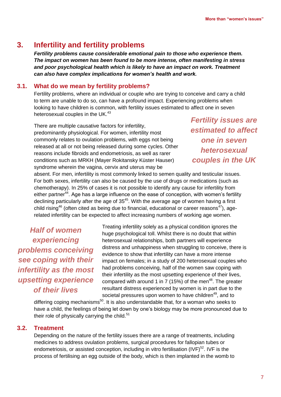## **3. Infertility and fertility problems**

<span id="page-12-0"></span>*Fertility problems cause considerable emotional pain to those who experience them. The impact on women has been found to be more intense, often manifesting in stress and poor psychological health which is likely to have an impact on work. Treatment can also have complex implications for women's health and work.*

#### **3.1. What do we mean by fertility problems?**

<span id="page-12-1"></span>Fertility problems, where an individual or couple who are trying to conceive and carry a child to term are unable to do so, can have a profound impact. Experiencing problems when looking to have children is common, with fertility issues estimated to affect one in seven heterosexual couples in the UK.<sup>43</sup>

There are multiple causative factors for infertility, predominantly physiological. For women, infertility most commonly relates to ovulation problems, with eggs not being released at all or not being released during some cycles. Other reasons include fibroids and endometriosis, as well as rarer conditions such as MRKH (Mayer Rokitansky Küster Hauser) syndrome wherein the vagina, cervix and uterus may be

*Fertility issues are estimated to affect one in seven heterosexual couples in the UK*

absent. For men, infertility is most commonly linked to semen quality and testicular issues. For both sexes, infertility can also be caused by the use of drugs or medications (such as chemotherapy). In 25% of cases it is not possible to identify any cause for infertility from either partner<sup>44</sup>. Age has a large influence on the ease of conception, with women's fertility declining particularly after the age of 35<sup>45</sup>. With the average age of women having a first child rising<sup>46</sup> (often cited as being due to financial, educational or career reasons<sup>47</sup>), agerelated infertility can be expected to affect increasing numbers of working age women.

*Half of women experiencing problems conceiving see coping with their infertility as the most upsetting experience of their lives* 

Treating infertility solely as a physical condition ignores the huge psychological toll. Whilst there is no doubt that within heterosexual relationships, both partners will experience distress and unhappiness when struggling to conceive, there is evidence to show that infertility can have a more intense impact on females; in a study of 200 heterosexual couples who had problems conceiving, half of the women saw coping with their infertility as the most upsetting experience of their lives, compared with around 1 in 7 (15%) of the men<sup>48</sup>. The greater resultant distress experienced by women is in part due to the societal pressures upon women to have children<sup>49</sup>, and to

differing coping mechanisms<sup>50</sup>. It is also understandable that, for a woman who seeks to have a child, the feelings of being let down by one's biology may be more pronounced due to their role of physically carrying the child.<sup>51</sup>

#### **3.2. Treatment**

<span id="page-12-2"></span>Depending on the nature of the fertility issues there are a range of treatments, including medicines to address ovulation problems, surgical procedures for fallopian tubes or endometriosis, or assisted conception, including in vitro fertilisation (IVF) $52$ . IVF is the process of fertilising an egg outside of the body, which is then implanted in the womb to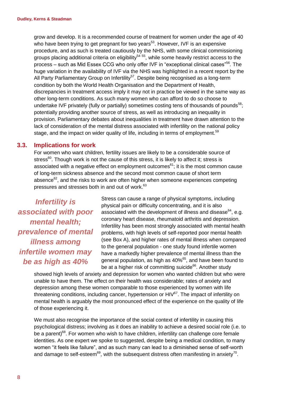grow and develop. It is a recommended course of treatment for women under the age of 40 who have been trying to get pregnant for two years<sup>53</sup>. However, IVF is an expensive procedure, and as such is treated cautiously by the NHS, with some clinical commissioning groups placing additional criteria on eligibility<sup>54 55</sup>, while some heavily restrict access to the process – such as Mid Essex CCG who only offer IVF in "exceptional clinical cases"<sup>56</sup> *.* The huge variation in the availability of IVF via the NHS was highlighted in a recent report by the All Party Parliamentary Group on Infertility<sup>57</sup>. Despite being recognised as a long-term condition by both the World Health Organisation and the Department of Health, discrepancies in treatment access imply it may not in practice be viewed in the same way as other long-term conditions. As such many women who can afford to do so choose to undertake IVF privately (fully or partially) sometimes costing tens of thousands of pounds<sup>58</sup>; potentially providing another source of stress, as well as introducing an inequality in provision. Parliamentary debates about inequalities in treatment have drawn attention to the lack of consideration of the mental distress associated with infertility on the national policy stage, and the impact on wider quality of life, including in terms of employment.<sup>59</sup>

#### **3.3. Implications for work**

<span id="page-13-0"></span>For women who want children, fertility issues are likely to be a considerable source of stress<sup>60</sup>. Though work is not the cause of this stress, it is likely to affect it; stress is associated with a negative effect on employment outcomes<sup>61</sup>; it is the most common cause of long-term sickness absence and the second most common cause of short term absence<sup>62</sup>, and the risks to work are often higher when someone experiences competing pressures and stresses both in and out of work.<sup>63</sup>

*Infertility is associated with poor mental health; prevalence of mental illness among infertile women may be as high as 40%*

Stress can cause a range of physical symptoms, including physical pain or difficulty concentrating, and it is also associated with the development of illness and disease $^{64}$ , e.g. coronary heart disease, rheumatoid arthritis and depression. Infertility has been most strongly associated with mental health problems, with high levels of self-reported poor mental health (see Box A), and higher rates of mental illness when compared to the general population - one study found infertile women have a markedly higher prevalence of mental illness than the general population, as high as  $40\%$ <sup>65</sup>, and have been found to be at a higher risk of committing suicide<sup>66</sup>. Another study

showed high levels of anxiety and depression for women who wanted children but who were unable to have them. The effect on their health was considerable; rates of anxiety and depression among these women comparable to those experienced by women with life threatening conditions, including cancer, hypertension or  $HIV^{67}$ . The impact of infertility on mental health is arguably the most pronounced effect of the experience on the quality of life of those experiencing it.

We must also recognise the importance of the social context of infertility in causing this psychological distress; involving as it does an inability to achieve a desired social role (i.e. to be a parent)<sup>68</sup>. For women who wish to have children, infertility can challenge core female identities. As one expert we spoke to suggested, despite being a medical condition, to many women "it feels like failure", and as such many can lead to a diminished sense of self-worth and damage to self-esteem $^{69}$ , with the subsequent distress often manifesting in anxiety<sup>70</sup>.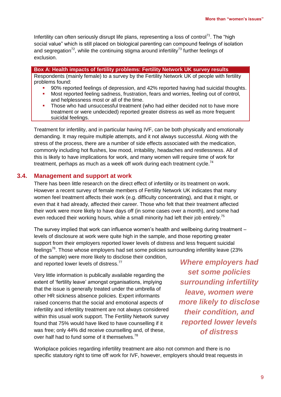Infertility can often seriously disrupt life plans, representing a loss of control<sup>71</sup>. The "high social value" which is still placed on biological parenting can compound feelings of isolation and segregation<sup>72</sup>, while the continuing stigma around infertility<sup>73</sup> further feelings of exclusion.

**Box A: Health impacts of fertility problems: Fertility Network UK survey results**

Respondents (mainly female) to a survey by the Fertility Network UK of people with fertility problems found:

- 90% reported feelings of depression, and 42% reported having had suicidal thoughts.
- Most reported feeling sadness, frustration, fears and worries, feeling out of control, and helplessness most or all of the time.
- Those who had unsuccessful treatment (who had either decided not to have more treatment or were undecided) reported greater distress as well as more frequent suicidal feelings.

Treatment for infertility, and in particular having IVF, can be both physically and emotionally demanding. It may require multiple attempts, and it not always successful. Along with the stress of the process, there are a number of side effects associated with the medication, commonly including hot flushes, low mood, irritability, headaches and restlessness. All of this is likely to have implications for work, and many women will require time of work for treatment, perhaps as much as a week off work during each treatment cycle.<sup>74</sup>

#### **3.4. Management and support at work**

<span id="page-14-0"></span>There has been little research on the direct effect of infertility or its treatment on work. However a recent survey of female members of Fertility Network UK indicates that many women feel treatment affects their work (e.g. difficulty concentrating), and that it might, or even that it had already, affected their career. Those who felt that their treatment affected their work were more likely to have days off (in some cases over a month), and some had even reduced their working hours, while a small minority had left their job entirely.<sup>75</sup>

The survey implied that work can influence women's health and wellbeing during treatment – levels of disclosure at work were quite high in the sample, and those reporting greater support from their employers reported lower levels of distress and less frequent suicidal feelings<sup>76</sup>. Those whose employers had set some policies surrounding infertility leave (23%

of the sample) were more likely to disclose their condition, and reported lower levels of distress.<sup>77</sup>

Very little information is publically available regarding the extent of 'fertility leave' amongst organisations, implying that the issue is generally treated under the umbrella of other HR sickness absence policies. Expert informants raised concerns that the social and emotional aspects of infertility and infertility treatment are not always considered within this usual work support. The Fertility Network survey found that 75% would have liked to have counselling if it was free; only 44% did receive counselling and, of these, over half had to fund some of it themselves.<sup>78</sup>

*Where employers had set some policies surrounding infertility leave, women were more likely to disclose their condition, and reported lower levels of distress*

Workplace policies regarding infertility treatment are also not common and there is no specific statutory right to time off work for IVF, however, employers should treat requests in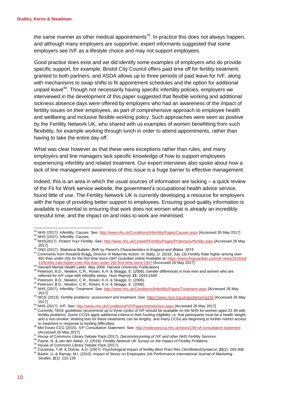the same manner as other medical appointments<sup>79</sup>. In practice this does not always happen, and although many employers are supportive, expert informants suggested that some employers see IVF as a lifestyle choice and may not support employees.

Good practice does exist and we did identify some examples of employers who do provide specific support, for example; Bristol City Council offers paid time off for fertility treatment, granted to both partners, and ASDA allows up to three periods of paid leave for IVF, along with mechanisms to swap shifts to fit appointment schedules and the option for additional unpaid leave<sup>80</sup>. Though not necessarily having specific infertility policies, employers we interviewed in the development of this paper suggested that flexible working and additional sickness absence days were offered by employers who had an awareness of the impact of fertility issues on their employees, as part of comprehensive approach to employee health and wellbeing and inclusive flexible working policy. Such approaches were seen as positive by the Fertility Network UK, who shared with us examples of women benefitting from such flexibility, for example working through lunch in order to attend appointments, rather than having to take the entire day off.

What was clear however as that these were exceptions rather than rules, and many employers and line managers lack specific knowledge of how to support employees experiencing infertility and related treatment. Our expert interviews also spoke about how a lack of line management awareness of this issue is a huge barrier to effective management.

Indeed, this is an area in which the usual sources of information are lacking – a quick review of the Fit for Work service website, the government's occupational health advice service, found little of use. The Fertility Network UK is currently developing a resource for employers with the hope of providing better support to employees. Ensuring good quality information is available is essential to ensuring that work does not worsen what is already an incredibly stressful time, and the impact on and risks to work are minimised.

-

<sup>43</sup> NHS (2017). *Infertility: Causes.* See:<http://www.nhs.uk/Conditions/Infertility/Pages/Causes.aspx> [Accessed 26 May 2017]

<sup>44</sup> NHS (2017). *Infertility: Causes.* 

<sup>45</sup> NHS(2017). *Protect Your Fertility.* See:<http://www.nhs.uk/Livewell/Fertility/Pages/Protectyourfertility.aspx> [Accessed 26 May 2017]

<sup>46</sup> ONS (2017). *Statistical Bulletin. Birth by Parent's Characteristics in England and Wales: 2015*

<sup>47</sup> Comments from Rosalind Bragg, Director of Maternity Action. In: Batty, D. (2016, July 13).Fertility Rate higher among over-40s than under-20s for the first time since 1947*.Guardian online.*Available at[: https://www.theguardian.com/uk-news/2016/jul/](https://www.theguardian.com/uk-news/2016/jul/%0b13/fertility-rate-higher-over-40s-than-under-20s-first-time-since-1947) [13/fertility-rate-higher-over-40s-than-under-20s-first-time-since-1947](https://www.theguardian.com/uk-news/2016/jul/%0b13/fertility-rate-higher-over-40s-than-under-20s-first-time-since-1947) [Accessed 26 May 2017]

<sup>48</sup> Harvard Mental Health Letter, May 2009. Harvard University Publications

<sup>49</sup> Peterson, B.D., Newton, C.R., Rosen, K.H. & Skaggs, E. (2006). Gender differences in how men and women who are referred for IVF cope with infertility stress. *Hum Reprod*, **21**: 2443-2449

<sup>50</sup> Peterson, B.D., Newton, C.R., Rosen, K.H. & Skaggs, E. (2006).

<sup>51</sup> Peterson, B.D., Newton, C.R., Rosen, K.H. & Skaggs, E. (2006).

<sup>52</sup> NHS (2017). *Infertility: Treatment.* See[: http://www.nhs.uk/Conditions/Infertility/Pages/Treatment.aspx](http://www.nhs.uk/Conditions/Infertility/Pages/Treatment.aspx) [Accessed 26 May 2017]

<sup>53</sup> NICE (2013). *Fertility problems: assessment and treatment*. See[: https://www.nice.org.uk/guidance/cg156](https://www.nice.org.uk/guidance/cg156) [Accessed 26 May 2017]

<sup>54</sup> NHS (2017). *IVF.* See:<http://www.nhs.uk/Conditions/IVF/Pages/Introduction.aspx> [Accessed 26 May 2017]

<sup>&</sup>lt;sup>55</sup> Currently, NICE guidelines recommend up to three cycles of IVF should be available on the NHS for women aged 23-39 with fertility problems. Some CCGS apply additional criteria to their funding eligibility i.e. that participants must be a health weight, and a non-smoker. Waiting lists for these treatments can be lengthy, and many CCGs are beginning to further restrict access to treatment in response to funding difficulties.

<sup>56</sup> Mid Essex CCG (2015). *IVF Consultation Statement*. See[: http://midessexccg.nhs.uk/news/196-ivf-consultation-statement](http://midessexccg.nhs.uk/news/196-ivf-consultation-statement)

<sup>[</sup>Accessed 26 May 2017] <sup>57</sup> House of Commons Library Debate Pack (2017). *Decommissioning of IVF and other NHS Fertility Services*.

<sup>58</sup> Payne, N. & van den Akker, O. (2016). *Fertility Network UK Survey on the Impact of Fertility Problems.*

<sup>59</sup> House of Commons Library Debate Pack (2017).

<sup>60</sup> Cousinea, T.M. & Domar, A.D. (2007). Psychological impact of fertility.*Best Pract Res ClinObstestGynaecol*, **21**(2): 293-308 <sup>61</sup> Bashir, U. & Ramay, M.I. (2010). Impact of Stress on Employees Job Performance.*International Journal of Marketing Studies*, **2**(1): 122-126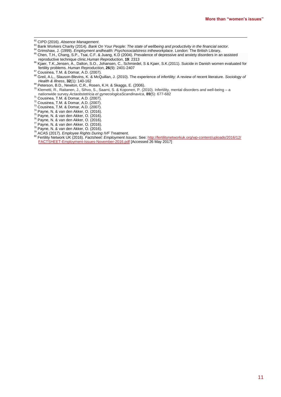- -CIPD (2016). *Absence Management*.
- Bank Workers Charity (2014). *Bank On Your People: The state of wellbeing and productivity in the financial sector*.
- Grimshaw, J. (1999). *Employment andhealth: Psychosocialstress intheworkplace*. London: The British Library.
- Chen, T.H., Chang, S.P., Tsai, C.F. & Juang, K.D (2004). Prevalence of depressive and anxiety disorders in an assisted reproductive technique clinic.*Human Reproduction*, **19**: 2313 Kjaer, T.K.,Jensen, A., Dalton, S.O., Johansen, C., Schmiedel, S & Kjaer, S.K.(2011). Suicide in Danish women evaluated for
- fertility problems. *Human Reproduction*, **26**(9): 2401-2407 Cousinea, T.M. & Domar, A.D. (2007).
- 
- Greil, A.L., Slauson-Blevins, K. & McQuillan, J. (2010). The experience of infertility: A review of recent literature. *Sociology of Health & Illness*, **32**(1): 140-162
- <sup>69</sup> Peterson, B.D., Newton, C.R., Rosen, K.H. & Skaggs, E. (2006).
- Klemetti, R., Raitanen, J., Sihvo, S., Saarni, S. & Koponen, P. (2010). Infertility, mental disorders and well-being a nationwide survey.*Actaobstetricia et gynecologicaScandinavica*, **89**(5): 677-682 Cousinea, T.M. & Domar, A.D. (2007).
- 
- Cousinea, T.M. & Domar, A.D. (2007).
- Cousinea, T.M. & Domar, A.D. (2007).
- Payne, N. & van den Akker, O. (2016).
- Payne, N. & van den Akker, O. (2016).
- Payne, N. & van den Akker, O. (2016).
- Payne, N. & van den Akker, O. (2016).
- Payne, N. & van den Akker, O. (2016).
- ACAS (2017). *Employee Rights During IVF Treatment.*
- Fertility Network UK (2016). *Factsheet: Employment Issues*. See: [http://fertilitynetworkuk.org/wp-content/uploads/2016/12/](http://fertilitynetworkuk.org/wp-content/uploads/2016/12/%0bFACTSHEET-Employment-Issues-November-2016.pdf) [FACTSHEET-Employment-Issues-November-2016.pdf](http://fertilitynetworkuk.org/wp-content/uploads/2016/12/%0bFACTSHEET-Employment-Issues-November-2016.pdf) [Accessed 26 May 2017]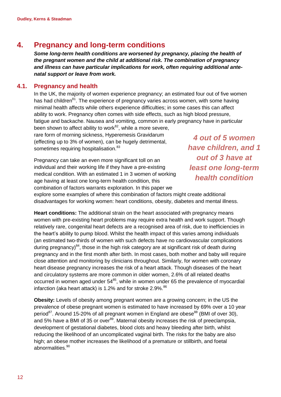## **4. Pregnancy and long-term conditions**

<span id="page-17-0"></span>*Some long-term health conditions are worsened by pregnancy, placing the health of the pregnant women and the child at additional risk. The combination of pregnancy and illness can have particular implications for work, often requiring additional antenatal support or leave from work.*

#### **4.1. Pregnancy and health**

<span id="page-17-1"></span>In the UK, the majority of women experience pregnancy; an estimated four out of five women has had children<sup>81</sup>. The experience of pregnancy varies across women, with some having minimal health affects while others experience difficulties; in some cases this can affect ability to work. Pregnancy often comes with side effects, such as high blood pressure, fatigue and backache. Nausea and vomiting, common in early pregnancy have in particular been shown to affect ability to work<sup>82</sup>, while a more severe,

rare form of morning sickness, Hyperemesis Gravidarum (effecting up to 3% of women), can be hugely detrimental, sometimes requiring hospitalisation.<sup>83</sup>

Pregnancy can take an even more significant toll on an individual and their working life if they have a pre-existing medical condition. With an estimated 1 in 3 women of working age having at least one long-term health condition, this combination of factors warrants exploration. In this paper we

*4 out of 5 women have children, and 1 out of 3 have at least one long-term health condition*

explore some examples of where this combination of factors might create additional disadvantages for working women: heart conditions, obesity, diabetes and mental illness.

**Heart conditions:** The additional strain on the heart associated with pregnancy means women with pre-existing heart problems may require extra health and work support. Though relatively rare, congenital heart defects are a recognised area of risk, due to inefficiencies in the heart's ability to pump blood. Whilst the health impact of this varies among individuals (an estimated two-thirds of women with such defects have no cardiovascular complications during pregnancy) $84$ , those in the high risk category are at significant risk of death during pregnancy and in the first month after birth. In most cases, both mother and baby will require close attention and monitoring by clinicians throughout. Similarly, for women with coronary heart disease pregnancy increases the risk of a heart attack. Though diseases of the heart and circulatory systems are more common in older women, 2.6% of all related deaths occurred in women aged under  $54^{85}$ , while in women under 65 the prevalence of myocardial infarction (aka heart attack) is 1.2% and for stroke  $2.9\%$ .  $86$ 

**Obesity:** Levels of obesity among pregnant women are a growing concern; in the US the prevalence of obese pregnant women is estimated to have increased by 69% over a 10 year period<sup>87</sup>. Around 15-20% of all pregnant women in England are obese<sup>88</sup> (BMI of over 30), and 5% have a BMI of 35 or over<sup>89</sup>. Maternal obesity increases the risk of preeclampsia, development of gestational diabetes, blood clots and heavy bleeding after birth, whilst reducing the likelihood of an uncomplicated vaginal birth. The risks for the baby are also high; an obese mother increases the likelihood of a premature or stillbirth, and foetal abnormalities. 90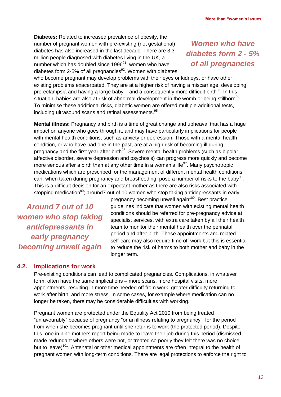**Diabetes:** Related to increased prevalence of obesity, the number of pregnant women with pre-existing (not gestational) diabetes has also increased in the last decade. There are 3.3 million people diagnosed with diabetes living in the UK, a number which has doubled since  $1996<sup>91</sup>$ ; women who have diabetes form 2-5% of all pregnancies<sup>92</sup>. Women with diabetes

## *Women who have diabetes form 2 - 5% of all pregnancies*

who become pregnant may develop problems with their eyes or kidneys, or have other existing problems exacerbated. They are at a higher risk of having a miscarriage, developing pre-eclampsia and having a large baby – and a consequently more difficult birth<sup>93</sup>. In this situation, babies are also at risk of abnormal development in the womb or being stillborn $94$ . To minimise these additional risks, diabetic women are offered multiple additional tests, including ultrasound scans and retinal assessments.<sup>95</sup>

**Mental illness:** Pregnancy and birth is a time of great change and upheaval that has a huge impact on anyone who goes through it, and may have particularly implications for people with mental health conditions, such as anxiety or depression. Those with a mental health condition, or who have had one in the past, are at a high risk of becoming ill during pregnancy and the first year after birth<sup>96</sup>. Severe mental health problems (such as bipolar affective disorder, severe depression and psychosis) can progress more quickly and become more serious after a birth than at any other time in a woman's life $^{97}$ . Many psychotropic medications which are prescribed for the management of different mental health conditions can, when taken during pregnancy and breastfeeding, pose a number of risks to the baby<sup>98</sup>. This is a difficult decision for an expectant mother as there are also risks associated with stopping medication<sup>99</sup>; around7 out of 10 women who stop taking antidepressants in early

*Around 7 out of 10 women who stop taking antidepressants in early pregnancy becoming unwell again*

pregnancy becoming unwell again<sup>100</sup>. Best practice guidelines indicate that women with existing mental health conditions should be referred for pre-pregnancy advice at specialist services, with extra care taken by all their health team to monitor their mental health over the perinatal period and after birth. These appointments and related self-care may also require time off work but this is essential to reduce the risk of harms to both mother and baby in the longer term.

#### **4.2. Implications for work**

<span id="page-18-0"></span>Pre-existing conditions can lead to complicated pregnancies. Complications, in whatever form, often have the same implications – more scans, more hospital visits, more appointments- resulting in more time needed off from work, greater difficulty returning to work after birth, and more stress. In some cases, for example where medication can no longer be taken, there may be considerable difficulties with working.

Pregnant women are protected under the Equality Act 2010 from being treated "unfavourably" because of pregnancy "or an illness relating to pregnancy", for the period from when she becomes pregnant until she returns to work (the protected period). Despite this, one in nine mothers report being made to leave their job during this period (dismissed, made redundant where others were not, or treated so poorly they felt there was no choice but to leave)<sup>101</sup>. Antenatal or other medical appointments are often integral to the health of pregnant women with long-term conditions. There are legal protections to enforce the right to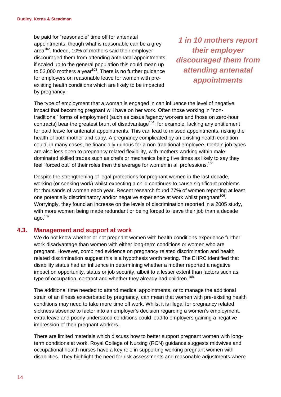be paid for "reasonable" time off for antenatal appointments, though what is reasonable can be a grey area<sup>102</sup>. Indeed, 10% of mothers said their employer discouraged them from attending antenatal appointments; if scaled up to the general population this could mean up to 53,000 mothers a year $103$ . There is no further guidance for employers on reasonable leave for women with preexisting health conditions which are likely to be impacted by pregnancy.

*1 in 10 mothers report their employer discouraged them from attending antenatal appointments*

The type of employment that a woman is engaged in can influence the level of negative impact that becoming pregnant will have on her work. Often those working in "nontraditional" forms of employment (such as casual/agency workers and those on zero-hour contracts) bear the greatest brunt of disadvantage<sup>104</sup>; for example, lacking any entitlement for paid leave for antenatal appointments. This can lead to missed appointments, risking the health of both mother and baby. A pregnancy complicated by an existing health condition could, in many cases, be financially ruinous for a non-traditional employee. Certain job types are also less open to pregnancy related flexibility, with mothers working within maledominated skilled trades such as chefs or mechanics being five times as likely to say they feel "forced out" of their roles then the average for women in all professions.<sup>105</sup>

Despite the strengthening of legal protections for pregnant women in the last decade, working (or seeking work) whilst expecting a child continues to cause significant problems for thousands of women each year. Recent research found 77% of women reporting at least one potentially discriminatory and/or negative experience at work whilst pregnant $^{106}$ . Worryingly, they found an increase on the levels of discrimination reported in a 2005 study, with more women being made redundant or being forced to leave their job than a decade ago. 107

#### **4.3. Management and support at work**

<span id="page-19-0"></span>We do not know whether or not pregnant women with health conditions experience further work disadvantage than women with either long-term conditions or women who are pregnant. However, combined evidence on pregnancy related discrimination and health related discrimination suggest this is a hypothesis worth testing. The EHRC identified that disability status had an influence in determining whether a mother reported a negative impact on opportunity, status or job security, albeit to a lesser extent than factors such as type of occupation, contract and whether they already had children.<sup>108</sup>

The additional time needed to attend medical appointments, or to manage the additional strain of an illness exacerbated by pregnancy, can mean that women with pre-existing health conditions may need to take more time off work. Whilst it is illegal for pregnancy related sickness absence to factor into an employer's decision regarding a women's employment, extra leave and poorly understood conditions could lead to employers gaining a negative impression of their pregnant workers.

There are limited materials which discuss how to better support pregnant women with longterm conditions at work. Royal College of Nursing (RCN) guidance suggests midwives and occupational health nurses have a key role in supporting working pregnant women with disabilities. They highlight the need for risk assessments and reasonable adjustments where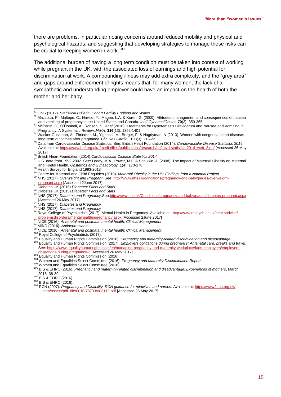there are problems, in particular noting concerns around reduced mobility and physical and psychological hazards, and suggesting that developing strategies to manage these risks can be crucial to keeping women in work.<sup>109</sup>

The additional burden of having a long term condition must be taken into context of working while pregnant in the UK, with the associated loss of earnings and high potential for discrimination at work. A compounding illness may add extra complexity, and the "grey area" and gaps around enforcement of rights means that, for many women, the lack of a sympathetic and understanding employer could have an impact on the health of both the mother and her baby.

-

[pregnant.aspx](http://www.nhs.uk/conditions/pregnancy-and-baby/pages/overweight-pregnant.aspx) [Accessed 2June 2017]

<sup>97</sup> NICE (2016). *Antenatal and postnatal mental health: Clinical Management*.

- <sup>98</sup> MIND (2016). *Antidepressants*.
- <sup>99</sup> NICE (2016). *Antenatal and postnatal mental health: Clinical Management*.
- <sup>100</sup> Royal College of Psychiatrists (2017).

<sup>81</sup> ONS (2012). *Statistical Bulletin: Cohort Fertility England and Wales*

<sup>82</sup> Mazzotta, P., Maltepe, C., Navioz, Y., Magee, L.A. & Koren, G. (2000). Attitudes, management and consequences of nausea and vomiting of pregnancy in the United States and Canada. *Int J GynaecolObstet,* **70**(3): 359-365

<sup>83</sup> McParlin, C., O'Donnell, A., Robson, S., et al (2016). Treatments for Hyperemesis Gravidarum and Nausea and Vomiting in Pregnancy: A Systematic Review.*JAMA,* **316**(13): 1392-1401

<sup>84</sup> Wacker-Gussman, A., Thriemer, M., Yigitbasi, M., Berger, F. & Nagdyman, N (2013). Women with congential heart disease: long-term outcomes after pregnancy. *Clin Res Cardiol*, **103**(3): 215-22

<sup>85</sup> Data from Cardiovascular Disease Statistics. See: British Heart Foundation (2014). *Cardiovascular Disease Statistics 2014*. Available at: [https://www.bhf.org.uk/-/media/files/publications/research/bhf\\_cvd-statistics-2014\\_web\\_2.pdf](https://www.bhf.org.uk/-/media/files/publications/research/bhf_cvd-statistics-2014_web_2.pdf) [Accessed 26 May 2017]

<sup>86</sup> British Heart Foundation (2014).*Cardiovascular Disease Statistics 2014.*

<sup>87</sup> U.S. data from 1992-2002. See: Leddy, M.A., Power, M.L. & Schulkin, J. (2008). The Impact of Maternal Obesity on Maternal and Foetal Health. *Obstetrics and Gynaecology*, **1**(4): 170-178 <sup>88</sup> Health Survey for England 1993-2013

<sup>89</sup> Centre for Maternal and Child Enquiries (2010). *Maternal Obesity in the UK: Findings from a National Project.* 

<sup>90</sup> NHS (2017). *Overweight and Pregnant .*See: [http://www.nhs.uk/conditions/pregnancy-and-baby/pages/overweight-](http://www.nhs.uk/conditions/pregnancy-and-baby/pages/overweight-pregnant.aspx)

<sup>91</sup> Diabetes UK (2015).*Diabetes: Facts and Stats*

<sup>92</sup> Diabetes UK (2015).*Diabetes: Facts and Stats*

<sup>93</sup> NHS (2017). *Diabetes and Pregnancy.*See[:http://www.nhs.uk/Conditions/pregnancy-and-baby/pages/diabetes-pregnant.aspx](http://www.nhs.uk/Conditions/pregnancy-and-baby/pages/diabetes-pregnant.aspx) [Accessed 26 May 2017]

<sup>94</sup> NHS (2017). *Diabetes and Pregnancy*

<sup>95</sup> NHS (2017). *Diabetes and Pregnancy*

<sup>96</sup> Royal College of Psychiatrists (2017). Mental Health in Pregnancy. Available at : [http://www.rcpsych.ac.uk/healthadvice/](http://www.rcpsych.ac.uk/healthadvice/problemsdisorders/mentalhealthinpregnancy.aspx) [problemsdisorders/mentalhealthinpregnancy.aspx](http://www.rcpsych.ac.uk/healthadvice/problemsdisorders/mentalhealthinpregnancy.aspx) [Accessed 2June 2017]

<sup>101</sup> Equality and Human Rights Commission (2016). *Pregnancy and maternity-related discrimination and disadvantage*. <sup>102</sup> Equality and Human Rights Commission (2017). *Employers obligations during pregnancy: Antenatal care, breaks and travel*. See: [https://www.equalityhumanrights.com/en/managing-pregnancy-and-maternity-workplace/faqs-employers/employers](https://www.equalityhumanrights.com/en/managing-pregnancy-and-maternity-workplace/faqs-employers/employers-obligations-during-pregnancy-3)[obligations-during-pregnancy-3](https://www.equalityhumanrights.com/en/managing-pregnancy-and-maternity-workplace/faqs-employers/employers-obligations-during-pregnancy-3) [Accessed 26 May 2017]

<sup>&</sup>lt;sup>103</sup> Equality and Human Rights Commission (2016).

<sup>104</sup> Women and Equalities Select Committee (2016). *Pregnancy and Maternity Discrimination Report.*

<sup>105</sup> Women and Equalities Select Committee (2016).

<sup>106</sup> BIS & EHRC (2016). *Pregnancy and maternity-related discrimination and disadvantage: Experiences of mothers*, March 2016: 38-39<br><sup>107</sup> BIS & EHRC (2016).

<sup>108</sup> BIS & EHRC (2016).

<sup>109</sup> RCN (2007). *Pregnancy and Disability: RCN guidance for midwives and nurses*. Available at: [https://www2.rcn.org.uk/](https://www2.rcn.org.uk/%0b__data/assets/pdf_file/0010/78733/003113.pdf) [\\_\\_data/assets/pdf\\_file/0010/78733/003113.pdf](https://www2.rcn.org.uk/%0b__data/assets/pdf_file/0010/78733/003113.pdf) [Accessed 26 May 2017]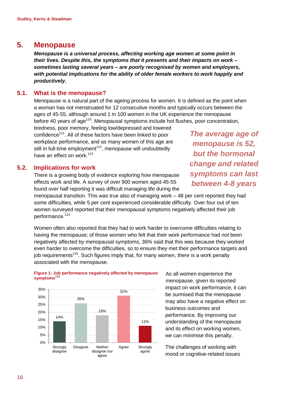### **5. Menopause**

<span id="page-21-0"></span>*Menopause is a universal process, affecting working age women at some point in their lives. Despite this, the symptoms that it presents and their impacts on work – sometimes lasting several years – are poorly recognised by women and employers, with potential implications for the ability of older female workers to work happily and productively.*

#### **5.1. What is the menopause?**

<span id="page-21-1"></span>Menopause is a natural part of the ageing process for women. It is defined as the point when a woman has not menstruated for 12 consecutive months and typically occurs between the ages of 45-55, although around 1 in 100 women in the UK experience the menopause before 40 years of age<sup>110</sup>. Menopausal symptoms include hot flushes, poor concentration,

tiredness, poor memory, feeling low/depressed and lowered confidence<sup>111</sup>. All of these factors have been linked to poor workplace performance, and as many women of this age are still in full-time employment<sup>112</sup>, menopause will undoubtedly have an effect on work.<sup>113</sup>

#### **5.2. Implications for work**

<span id="page-21-2"></span>There is a growing body of evidence exploring how menopause effects work and life. A survey of over 900 women aged 45-55 found over half reporting it was difficult managing life during the

*The average age of menopause is 52, but the hormonal change and related symptoms can last between 4-8 years*

menopausal transition. This was true also of managing work – 48 per cent reported they had some difficulties, while 5 per cent experienced considerable difficulty. Over four out of ten women surveyed reported that their menopausal symptoms negatively affected their job performance.<sup>114</sup>

Women often also reported that they had to work harder to overcome difficulties relating to having the menopause; of those women who felt that their work performance had *not* been negatively affected by menopausal symptoms, 36% said that this was because they worked even harder to overcome the difficulties, so to ensure they met their performance targets and job requirements<sup>115</sup>. Such figures imply that, for many women, there is a work penalty associated with the menopause.



#### **Figure 1: Job performance negatively affected by menopause symptoms<sup>116</sup>**

As all women experience the menopause, given its reported impact on work performance, it can be surmised that the menopause may also have a negative effect on business outcomes and performance. By improving our understanding of the menopause and its effect on working women, we can minimise this penalty.

The challenges of working with mood or cognitive-related issues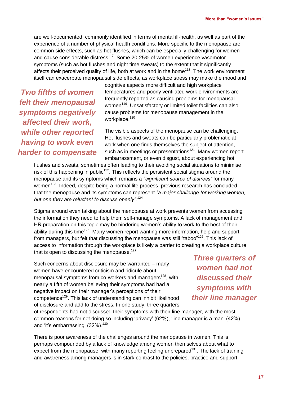are well-documented, commonly identified in terms of mental ill-health, as well as part of the experience of a number of physical health conditions. More specific to the menopause are common side effects, such as hot flushes, which can be especially challenging for women and cause considerable distress<sup>117</sup>. Some 20-25% of women experience vasomotor symptoms (such as hot flushes and night time sweats) to the extent that it significantly affects their perceived quality of life, both at work and in the home<sup>118</sup>. The work environment itself can exacerbate menopausal side effects, as workplace stress may make the mood and

*Two fifths of women felt their menopausal symptoms negatively affected their work, while other reported having to work even harder to compensate* cognitive aspects more difficult and high workplace temperatures and poorly ventilated work environments are frequently reported as causing problems for menopausal women<sup>119</sup>. Unsatisfactory or limited toilet facilities can also cause problems for menopause management in the workplace.<sup>120</sup>

The visible aspects of the menopause can be challenging. Hot flushes and sweats can be particularly problematic at work when one finds themselves the subject of attention, such as in meetings or presentations<sup>121</sup>. Many women report embarrassment, or even disgust, about experiencing hot

flushes and sweats, sometimes often leading to their avoiding social situations to minimise risk of this happening in public<sup>122</sup>. This reflects the persistent social stigma around the menopause and its symptoms which remains a *"significant source of distress"* for many women<sup>123</sup>. Indeed, despite being a normal life process, previous research has concluded that the menopause and its symptoms can represent *"a major challenge for working women, but one they are reluctant to discuss openly".*<sup>124</sup>

Stigma around even talking about the menopause at work prevents women from accessing the information they need to help them self-manage symptoms. A lack of management and HR preparation on this topic may be hindering women's ability to work to the best of their ability during this time<sup>125</sup>. Many women report wanting more information, help and support from managers, but felt that discussing the menopause was still "taboo"<sup>126</sup>. This lack of access to information through the workplace is likely a barrier to creating a workplace culture that is open to discussing the menopause.<sup>127</sup>

Such concerns about disclosure may be warranted – many women have encountered criticism and ridicule about menopausal symptoms from co-workers and managers<sup>128</sup>, with nearly a fifth of women believing their symptoms had had a negative impact on their manager's perceptions of their competence<sup>129</sup>. This lack of understanding can inhibit likelihood of disclosure and add to the stress. In one study, three quarters

*Three quarters of women had not discussed their symptoms with their line manager*

of respondents had not discussed their symptoms with their line manager, with the most common reasons for not doing so including 'privacy' (62%), 'line manager is a man' (42%) and 'it's embarrassing' (32%).<sup>130</sup>

There is poor awareness of the challenges around the menopause in women. This is perhaps compounded by a lack of knowledge among women themselves about what to expect from the menopause, with many reporting feeling unprepared<sup>131</sup>. The lack of training and awareness among managers is in stark contrast to the policies, practice and support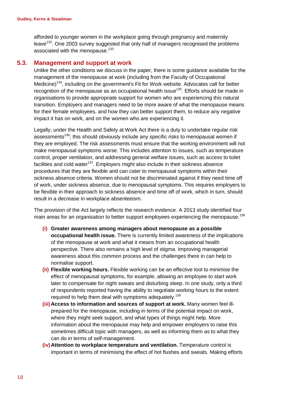afforded to younger women in the workplace going through pregnancy and maternity leave<sup>132</sup>. One 2003 survey suggested that only half of managers recognised the problems associated with the menopause.<sup>133</sup>

#### **5.3. Management and support at work**

<span id="page-23-0"></span>Unlike the other conditions we discuss in the paper, there is some guidance available for the management of the menopause at work (including from the Faculty of Occupational Medicine)<sup>134</sup>, including on the government's Fit for Work website. Advocates call for better recognition of the menopause as an occupational health issue<sup>135</sup>. Efforts should be made in organisations to provide appropriate support for women who are experiencing this natural transition. Employers and managers need to be more aware of what the menopause means for their female employees, and how they can better support them, to reduce any negative impact it has on work, and on the women who are experiencing it.

Legally, under the Health and Safety at Work Act there is a duty to undertake regular risk assessments<sup>136</sup>; this should obviously include any specific risks to menopausal women if they are employed. The risk assessments must ensure that the working environment will not make menopausal symptoms worse. This includes attention to issues, such as temperature control, proper ventilation, and addressing general welfare issues, such as access to toilet facilities and cold water $137$ . Employers might also include in their sickness absence procedures that they are flexible and can cater to menopausal symptoms within their sickness absence criteria. Women should not be discriminated against if they need time off of work, under sickness absence, due to menopausal symptoms. This requires employers to be flexible in their approach to sickness absence and time off of work, which in turn, should result in a decrease in workplace absenteeism.

The provision of the Act largely reflects the research evidence. A 2013 study identified four main areas for an organisation to better support employees experiencing the menopause.<sup>138</sup>

- **(i) Greater awareness among managers about menopause as a possible occupational health issue.** There is currently limited awareness of the implications of the menopause at work and what it means from an occupational health perspective. There also remains a high level of stigma. Improving managerial awareness about this common process and the challenges there in can help to normalise support.
- **(ii) Flexible working hours.** Flexible working can be an effective tool to minimise the effect of menopausal symptoms, for example, allowing an employee to start work later to compensate for night sweats and disturbing sleep. In one study, only a third of respondents reported having the ability to negotiate working hours to the extent required to help them deal with symptoms adequately.<sup>139</sup>
- **(iii)Access to information and sources of support at work.** Many women feel illprepared for the menopause, including in terms of the potential impact on work, where they might seek support, and what types of things might help. More information about the menopause may help and empower employers to raise this sometimes difficult topic with managers, as well as informing them as to what they can do in terms of self-management.
- **(iv)Attention to workplace temperature and ventilation.** Temperature control is important in terms of minimising the effect of hot flushes and sweats. Making efforts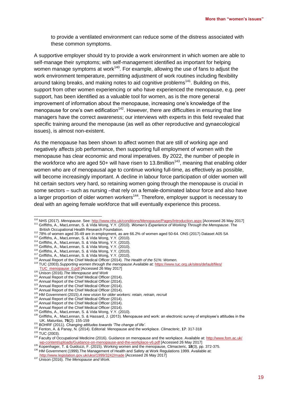to provide a ventilated environment can reduce some of the distress associated with these common symptoms.

A supportive employer should try to provide a work environment in which women are able to self-manage their symptoms; with self-management identified as important for helping women manage symptoms at work<sup>140</sup>. For example, allowing the use of fans to adjust the work environment temperature, permitting adjustment of work routines including flexibility around taking breaks, and making notes to aid cognitive problems<sup>141</sup>. Building on this, support from other women experiencing or who have experienced the menopause, e.g. peer support, has been identified as a valuable tool for women, as is the more general improvement of information about the menopause, increasing one's knowledge of the menopause for one's own edification<sup>142</sup>. However, there are difficulties in ensuring that line managers have the correct awareness; our interviews with experts in this field revealed that specific training around the menopause (as well as other reproductive and gynaecological issues), is almost non-existent.

As the menopause has been shown to affect women that are still of working age and negatively affects job performance, then supporting full employment of women with the menopause has clear economic and moral imperatives. By 2022, the number of people in the workforce who are aged 50+ will have risen to 13.8million<sup>143</sup>, meaning that enabling older women who are of menopausal age to continue working full-time, as effectively as possible, will become increasingly important. A decline in labour force participation of older women will hit certain sectors very hard, so retaining women going through the menopause is crucial in some sectors – such as nursing –that rely on a female-dominated labour force and also have a larger proportion of older women workers<sup>144</sup>. Therefore, employer support is necessary to deal with an ageing female workforce that will eventually experience this process.

<sup>133</sup> TUC (2003).

-

<sup>110</sup> NHS (2017). *Menopause.* See:<http://www.nhs.uk/conditions/Menopause/Pages/Introduction.aspx> [Accessed 26 May 2017] <sup>111</sup> Griffiths, A., MacLennan, S. & Vida Wong, Y.Y. (2010). *Women's Experience of Working Through the Menopause*. The

British Occupational Health Research Foundation.

<sup>112</sup> 78% of women aged 35-49 are in employment, as are 66.2% of women aged 50-64. ONS (2017) Dataset A05 SA

<sup>113</sup> Griffiths, A., MacLennan, S. & Vida Wong, Y.Y. (2010).

<sup>114</sup> Griffiths, A., MacLennan, S. & Vida Wong, Y.Y. (2010).

<sup>115</sup> Griffiths, A., MacLennan, S. & Vida Wong, Y.Y. (2010).

<sup>116</sup> Griffiths, A., MacLennan, S. & Vida Wong, Y.Y. (2010).

<sup>117</sup> Griffiths, A., MacLennan, S. & Vida Wong, Y.Y. (2010).

<sup>&</sup>lt;sup>118</sup> Annual Report of the Chief Medical Officer (2014). *The Health of the 51%: Women.* 

<sup>119</sup> TUC (2003).*Supporting women through the menopause*.Available at: [https://www.tuc.org.uk/sites/default/files/](https://www.tuc.org.uk/sites/default/files/%0bTUC_menopause_0.pdf) [TUC\\_menopause\\_0.pdf](https://www.tuc.org.uk/sites/default/files/%0bTUC_menopause_0.pdf) [Accessed 26 May 2017]

<sup>120</sup> Unison (2016).*The Menopause and Work*

<sup>121</sup> Annual Report of the Chief Medical Officer (2014).

<sup>122</sup> Annual Report of the Chief Medical Officer (2014).

<sup>123</sup> Annual Report of the Chief Medical Officer (2014).

<sup>124</sup> Annual Report of the Chief Medical Officer (2014).

<sup>125</sup> HM Government (2015) *A new vision for older workers: retain, retrain, recruit*

<sup>&</sup>lt;sup>126</sup> Annual Report of the Chief Medical Officer (2014).

<sup>127</sup> Annual Report of the Chief Medical Officer (2014).

<sup>&</sup>lt;sup>128</sup> Annual Report of the Chief Medical Officer (2014).

<sup>129</sup> Griffiths, A., MacLennan, S. & Vida Wong, Y.Y. (2010).

<sup>130</sup> Griffiths, A., MacLennan, S. & Hassard, J. (2013). Menopause and work: an electronic survey of employee's attitudes in the UK. *Maturitas,* **76**(2): 155-159

<sup>131</sup> BOHRF (2011). *Changing attitudes towards 'The change of life'.*

<sup>132</sup> Fenton, A. & Panay, N. (2014). Editorial: Menopause and the workplace. *Climacteric*, **17**: 317-318

<sup>&</sup>lt;sup>134</sup> Faculty of Occupational Medicine (2016). Guidance on menopause and the workplace. Available at: [http://www.fom.ac.uk/](http://www.fom.ac.uk/%0bwp-content/uploads/Guidance-on-menopause-and-the-workplace-v6.pdf) [wp-content/uploads/Guidance-on-menopause-and-the-workplace-v6.pdf](http://www.fom.ac.uk/%0bwp-content/uploads/Guidance-on-menopause-and-the-workplace-v6.pdf) [Accessed 26 May 2017] <sup>135</sup> Kopenhager, T. & Guidozzi, F. (2015). Working women and the menopause, Climacteric, **18**(3), pp. 372-375.

<sup>136</sup> HM Government (1999).The Management of Health and Safety at Work Regulations 1999. Available at:

<http://www.legislation.gov.uk/uksi/1999/3242/made> [Accessed 26 May 2017]

<sup>137</sup> Unison (2016). *The Menopause and Work.*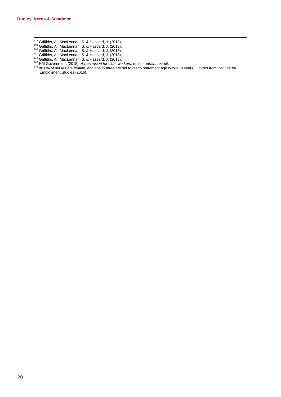-

<sup>138</sup> Griffiths, A., MacLennan, S. & Hassard, J. (2013).

<sup>140</sup> Griffiths, A., MacLennan, S. & Hassard, J. (2013).

- $142$  Griffiths, A., MacLennan, S. & Hassard, J. (2013).
- <sup>143</sup> HM Government (2015). *A new vision for older workers: retain, retrain, recruit.*

<sup>&</sup>lt;sup>139</sup> Griffiths, A., MacLennan, S. & Hassard, J. (2013).

<sup>&</sup>lt;sup>141</sup> Griffiths, A., MacLennan, S. & Hassard, J. (2013).

<sup>&</sup>lt;sup>144</sup> 88.6% of nurses are female, and one in three are set to reach retirement age within 10 years. Figures from Institute for Employment Studies (2016).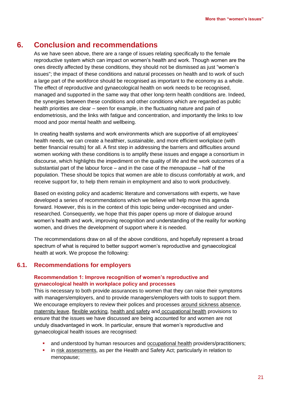## **6. Conclusion and recommendations**

<span id="page-26-0"></span>As we have seen above, there are a range of issues relating specifically to the female reproductive system which can impact on women's health and work. Though women are the ones directly affected by these conditions, they should not be dismissed as just "women's issues"; the impact of these conditions and natural processes on health and to work of such a large part of the workforce should be recognised as important to the economy as a whole. The effect of reproductive and gynaecological health on work needs to be recognised, managed and supported in the same way that other long-term health conditions are. Indeed, the synergies between these conditions and other conditions which are regarded as public health priorities are clear – seen for example, in the fluctuating nature and pain of endometriosis, and the links with fatigue and concentration, and importantly the links to low mood and poor mental health and wellbeing.

In creating health systems and work environments which are supportive of all employees' health needs, we can create a healthier, sustainable, and more efficient workplace (with better financial results) for all. A first step in addressing the barriers and difficulties around women working with these conditions is to amplify these issues and engage a consortium in discourse, which highlights the impediment on the quality of life and the work outcomes of a substantial part of the labour force – and in the case of the menopause – half of the population. These should be topics that women are able to discuss comfortably at work, and receive support for, to help them remain in employment and also to work productively.

Based on existing policy and academic literature and conversations with experts, we have developed a series of recommendations which we believe will help move this agenda forward. However, this is in the context of this topic being under-recognised and underresearched. Consequently, we hope that this paper opens up more of dialogue around women's health and work, improving recognition and understanding of the reality for working women, and drives the development of support where it is needed.

The recommendations draw on all of the above conditions, and hopefully represent a broad spectrum of what is required to better support women's reproductive and gynaecological health at work. We propose the following:

#### **6.1. Recommendations for employers**

#### <span id="page-26-2"></span><span id="page-26-1"></span>**Recommendation 1: Improve recognition of women's reproductive and gynaecological health in workplace policy and processes**

This is necessary to both provide assurances to women that they can raise their symptoms with managers/employers, and to provide managers/employers with tools to support them. We encourage employers to review their polices and processes around sickness absence, maternity leave, flexible working, health and safety and occupational health provisions to ensure that the issues we have discussed are being accounted for and women are not unduly disadvantaged in work. In particular, ensure that women's reproductive and gynaecological health issues are recognised:

- and understood by human resources and occupational health providers/practitioners;
- **in risk assessments, as per the Health and Safety Act; particularly in relation to** menopause;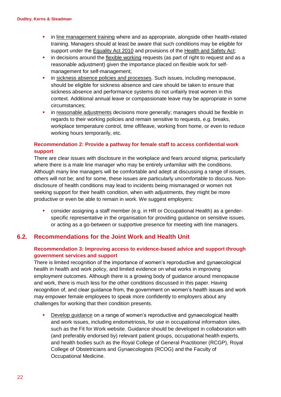- in line management training where and as appropriate, alongside other health-related training. Managers should at least be aware that such conditions may be eligible for support under the Equality Act 2010 and provisions of the Health and Safety Act;
- **i** in decisions around the flexible working requests (as part of right to request and as a reasonable adjustment) given the importance placed on flexible work for selfmanagement for self-management;
- **EXED** in sickness absence policies and processes. Such issues, including menopause, should be eligible for sickness absence and care should be taken to ensure that sickness absence and performance systems do not unfairly treat women in this context. Additional annual leave or compassionate leave may be appropriate in some circumstances;
- **in reasonable adjustments decisions more generally; managers should be flexible in** regards to their working policies and remain sensitive to requests, e.g. breaks, workplace temperature control, time off/leave, working from home, or even to reduce working hours temporarily, etc.

#### <span id="page-27-0"></span>**Recommendation 2: Provide a pathway for female staff to access confidential work support**

There are clear issues with disclosure in the workplace and fears around stigma; particularly where there is a male line manager who may be entirely unfamiliar with the conditions. Although many line managers will be comfortable and adept at discussing a range of issues, others will not be; and for some, these issues are particularly uncomfortable to discuss. Nondisclosure of health conditions may lead to incidents being mismanaged or women not seeking support for their health condition, when with adjustments, they might be more productive or even be able to remain in work. We suggest employers:

 consider assigning a staff member (e.g. in HR or Occupational Health) as a genderspecific representative in the organisation for providing guidance on sensitive issues, or acting as a go-between or supportive presence for meeting with line managers.

### **6.2. Recommendations for the Joint Work and Health Unit**

#### <span id="page-27-2"></span><span id="page-27-1"></span>**Recommendation 3: Improving access to evidence-based advice and support through government services and support**

There is limited recognition of the importance of women's reproductive and gynaecological health in health and work policy, and limited evidence on what works in improving employment outcomes. Although there is a growing body of guidance around menopause and work, there is much less for the other conditions discussed in this paper. Having recognition of, and clear guidance from, the government on women's health issues and work may empower female employees to speak more confidently to employers about any challenges for working that their condition presents.

 Develop guidance on a range of women's reproductive and gynaecological health and work issues, including endometriosis, for use in occupational information sites, such as the Fit for Work website. Guidance should be developed in collaboration with (and preferably endorsed by) relevant patient groups, occupational health experts, and health bodies such as the Royal College of General Practitioner (RCGP), Royal College of Obstetricians and Gynaecologists (RCOG) and the Faculty of Occupational Medicine.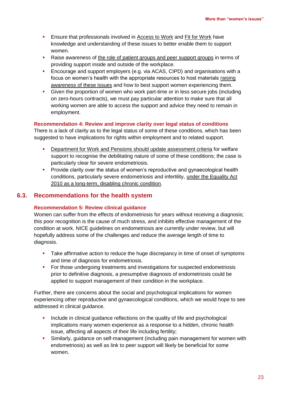- Ensure that professionals involved in Access to Work and Fit for Work have knowledge and understanding of these issues to better enable them to support women.
- Raise awareness of the role of patient groups and peer support groups in terms of providing support inside and outside of the workplace.
- Encourage and support employers (e.g. via ACAS, CIPD) and organisations with a focus on women's health with the appropriate resources to host materials raising awareness of these issues and how to best support women experiencing them.
- Given the proportion of women who work part-time or in less secure jobs (including on zero-hours contracts), we must pay particular attention to make sure that all working women are able to access the support and advice they need to remain in employment.

#### <span id="page-28-0"></span>**Recommendation 4: Review and improve clarity over legal status of conditions**

There is a lack of clarity as to the legal status of some of these conditions, which has been suggested to have implications for rights within employment and to related support.

- Department for Work and Pensions should update assessment criteria for welfare support to recognise the debilitating nature of some of these conditions; the case is particularly clear for severe endometriosis.
- **Provide clarity over the status of women's reproductive and gynaecological health** conditions, particularly severe endometriosis and infertility, under the Equality Act 2010 as a long-term, disabling chronic condition.

#### **6.3. Recommendations for the health system**

#### <span id="page-28-2"></span><span id="page-28-1"></span>**Recommendation 5: Review clinical guidance**

Women can suffer from the effects of endometriosis for years without receiving a diagnosis; this poor recognition is the cause of much stress, and inhibits effective management of the condition at work. NICE guidelines on endometriosis are currently under review, but will hopefully address some of the challenges and reduce the average length of time to diagnosis.

- Take affirmative action to reduce the huge discrepancy in time of onset of symptoms and time of diagnosis for endometriosis.
- **For those undergoing treatments and investigations for suspected endometriosis** prior to definitive diagnosis, a presumptive diagnosis of endometriosis could be applied to support management of their condition in the workplace.

Further, there are concerns about the social and psychological implications for women experiencing other reproductive and gynaecological conditions, which we would hope to see addressed in clinical guidance.

- Include in clinical guidance reflections on the quality of life and psychological implications many women experience as a response to a hidden, chronic health issue, affecting all aspects of their life including fertility;
- Similarly, guidance on self-management (including pain management for women with endometriosis) as well as link to peer support will likely be beneficial for some women.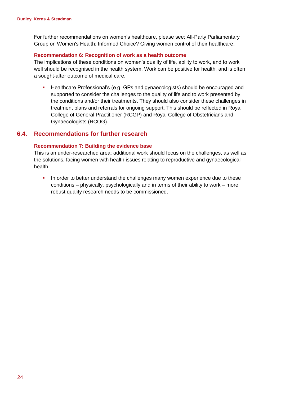For further recommendations on women's healthcare, please see: All-Party Parliamentary Group on Women's Health: Informed Choice? Giving women control of their healthcare.

#### <span id="page-29-0"></span>**Recommendation 6: Recognition of work as a health outcome**

The implications of these conditions on women's quality of life, ability to work, and to work well should be recognised in the health system. Work can be positive for health, and is often a sought-after outcome of medical care.

**Healthcare Professional's (e.g. GPs and gynaecologists) should be encouraged and** supported to consider the challenges to the quality of life and to work presented by the conditions and/or their treatments. They should also consider these challenges in treatment plans and referrals for ongoing support. This should be reflected in Royal College of General Practitioner (RCGP) and Royal College of Obstetricians and Gynaecologists (RCOG).

#### **6.4. Recommendations for further research**

#### <span id="page-29-2"></span><span id="page-29-1"></span>**Recommendation 7: Building the evidence base**

This is an under-researched area; additional work should focus on the challenges, as well as the solutions, facing women with health issues relating to reproductive and gynaecological health.

In order to better understand the challenges many women experience due to these conditions – physically, psychologically and in terms of their ability to work – more robust quality research needs to be commissioned.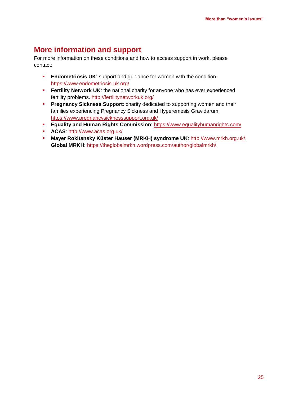## <span id="page-30-0"></span>**More information and support**

For more information on these conditions and how to access support in work, please contact:

- **Endometriosis UK:** support and guidance for women with the condition. <https://www.endometriosis-uk.org/>
- **Fertility Network UK:** the national charity for anyone who has ever experienced fertility problems.<http://fertilitynetworkuk.org/>
- **Pregnancy Sickness Support:** charity dedicated to supporting women and their families experiencing Pregnancy Sickness and Hyperemesis Gravidarum. <https://www.pregnancysicknesssupport.org.uk/>
- **Equality and Human Rights Commission**:<https://www.equalityhumanrights.com/>
- **ACAS**:<http://www.acas.org.uk/>
- **Mayer Rokitansky Küster Hauser (MRKH) syndrome UK**: [http://www.mrkh.org.uk/,](http://www.mrkh.org.uk/) **Global MRKH**: <https://theglobalmrkh.wordpress.com/author/globalmrkh/>